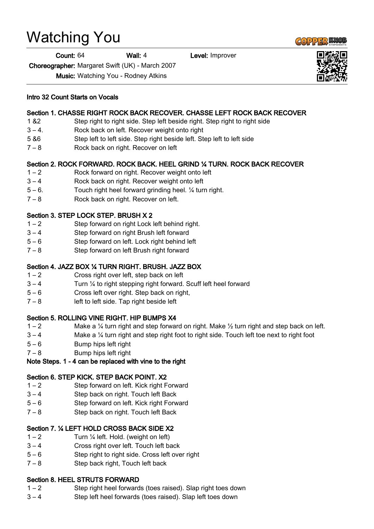## Watching You

Count: 64 Wall: 4 Level: Improver

Choreographer: Margaret Swift (UK) - March 2007

Music: Watching You - Rodney Atkins

### Section 1. CHASSE RIGHT ROCK BACK RECOVER. CHASSE LEFT ROCK BACK RECOVER

- 1 &2 Step right to right side. Step left beside right. Step right to right side
- 3 4. Rock back on left. Recover weight onto right
- 5 &6 Step left to left side. Step right beside left. Step left to left side
- 7 8 Rock back on right. Recover on left

### Section 2. ROCK FORWARD. ROCK BACK. HEEL GRIND ¼ TURN. ROCK BACK RECOVER

- 1 2 Rock forward on right. Recover weight onto left
- 3 4 Rock back on right. Recover weight onto left
- 5 6. Touch right heel forward grinding heel. ¼ turn right.
- 7 8 Rock back on right. Recover on left.

### Section 3. STEP LOCK STEP. BRUSH X 2

- 1 2 Step forward on right Lock left behind right.
- 3 4 Step forward on right Brush left forward
- 5 6 Step forward on left. Lock right behind left
- 7 8 Step forward on left Brush right forward

### Section 4. JAZZ BOX ¼ TURN RIGHT. BRUSH. JAZZ BOX

- 1 2 Cross right over left, step back on left
- 3 4 Turn ¼ to right stepping right forward. Scuff left heel forward
- 5 6 Cross left over right. Step back on right,
- 7 8 left to left side. Tap right beside left

### Section 5. ROLLING VINE RIGHT. HIP BUMPS X4

- 1 2 Make a  $\frac{1}{4}$  turn right and step forward on right. Make  $\frac{1}{2}$  turn right and step back on left.
- $3 4$  Make a  $\frac{1}{4}$  turn right and step right foot to right side. Touch left toe next to right foot
- 5 6 Bump hips left right
- $7 8$  Bump hips left right

### Note Steps. 1 - 4 can be replaced with vine to the right

#### Section 6. STEP KICK. STEP BACK POINT. X2

- 1 2 Step forward on left. Kick right Forward
- 3 4 Step back on right. Touch left Back
- 5 6 Step forward on left. Kick right Forward
- 7 8 Step back on right. Touch left Back

### Section 7. ¼ LEFT HOLD CROSS BACK SIDE X2

- $1 2$  Turn  $\frac{1}{4}$  left. Hold. (weight on left)
- 3 4 Cross right over left. Touch left back
- 5 6 Step right to right side. Cross left over right
- 7 8 Step back right, Touch left back

### Section 8. HEEL STRUTS FORWARD

- 1 2 Step right heel forwards (toes raised). Slap right toes down
- 3 4 Step left heel forwards (toes raised). Slap left toes down